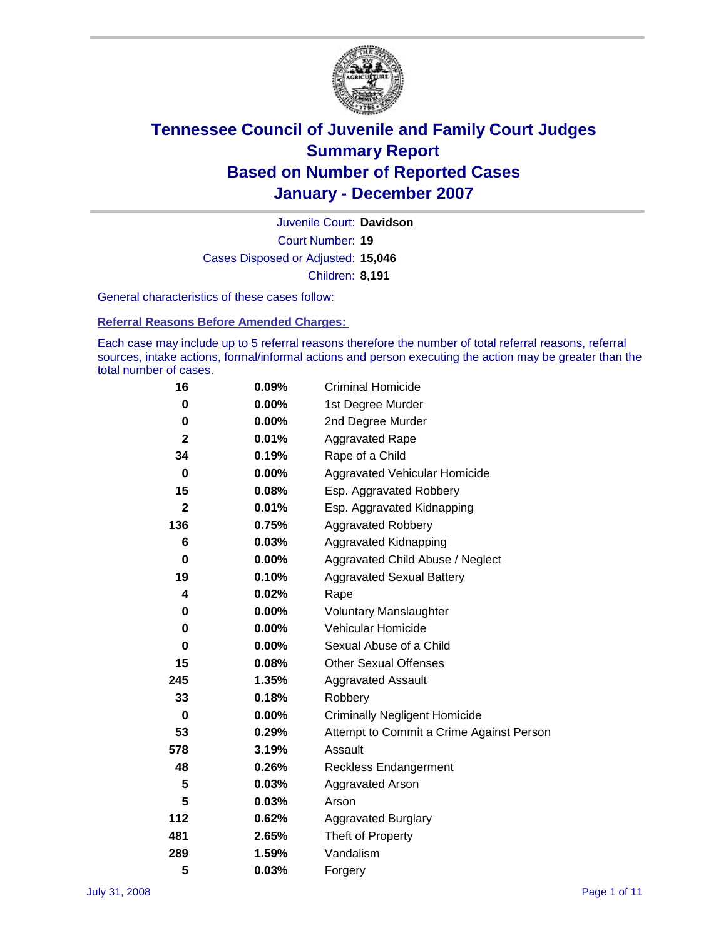

Court Number: **19** Juvenile Court: **Davidson** Cases Disposed or Adjusted: **15,046** Children: **8,191**

General characteristics of these cases follow:

**Referral Reasons Before Amended Charges:** 

Each case may include up to 5 referral reasons therefore the number of total referral reasons, referral sources, intake actions, formal/informal actions and person executing the action may be greater than the total number of cases.

| 16          | 0.09%    | <b>Criminal Homicide</b>                 |
|-------------|----------|------------------------------------------|
| 0           | 0.00%    | 1st Degree Murder                        |
| 0           | $0.00\%$ | 2nd Degree Murder                        |
| $\mathbf 2$ | 0.01%    | <b>Aggravated Rape</b>                   |
| 34          | 0.19%    | Rape of a Child                          |
| 0           | $0.00\%$ | Aggravated Vehicular Homicide            |
| 15          | 0.08%    | Esp. Aggravated Robbery                  |
| 2           | 0.01%    | Esp. Aggravated Kidnapping               |
| 136         | 0.75%    | <b>Aggravated Robbery</b>                |
| 6           | 0.03%    | Aggravated Kidnapping                    |
| 0           | $0.00\%$ | Aggravated Child Abuse / Neglect         |
| 19          | 0.10%    | <b>Aggravated Sexual Battery</b>         |
| 4           | 0.02%    | Rape                                     |
| 0           | 0.00%    | <b>Voluntary Manslaughter</b>            |
| 0           | $0.00\%$ | Vehicular Homicide                       |
| 0           | $0.00\%$ | Sexual Abuse of a Child                  |
| 15          | 0.08%    | <b>Other Sexual Offenses</b>             |
| 245         | 1.35%    | <b>Aggravated Assault</b>                |
| 33          | 0.18%    | Robbery                                  |
| $\bf{0}$    | 0.00%    | <b>Criminally Negligent Homicide</b>     |
| 53          | 0.29%    | Attempt to Commit a Crime Against Person |
| 578         | 3.19%    | Assault                                  |
| 48          | 0.26%    | <b>Reckless Endangerment</b>             |
| 5           | 0.03%    | Aggravated Arson                         |
| 5           | 0.03%    | Arson                                    |
| 112         | 0.62%    | <b>Aggravated Burglary</b>               |
| 481         | 2.65%    | Theft of Property                        |
| 289         | 1.59%    | Vandalism                                |
| 5           | 0.03%    | Forgery                                  |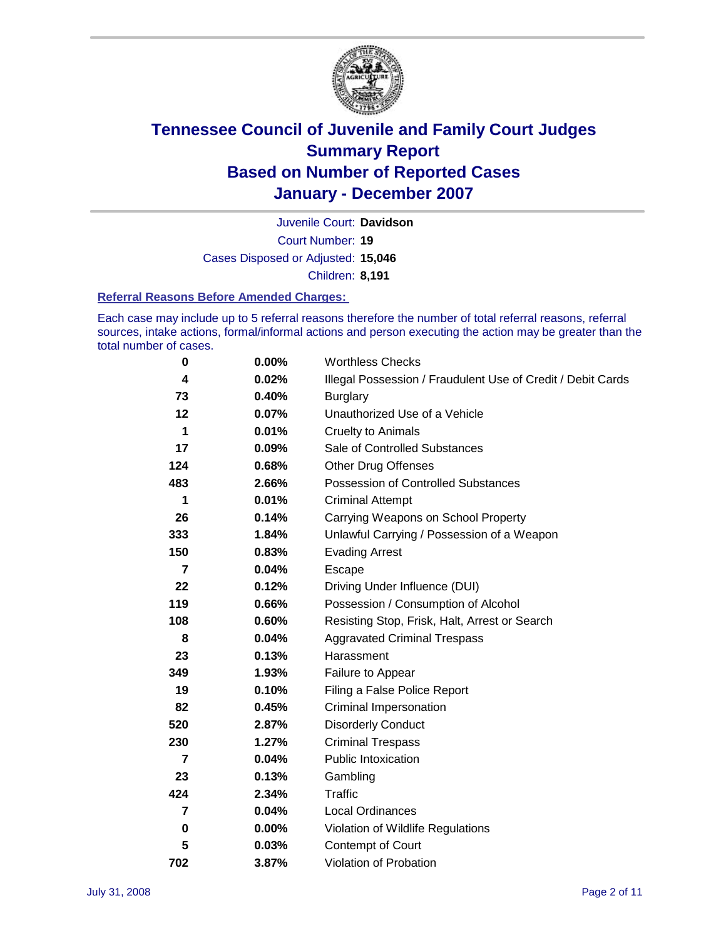

Court Number: **19** Juvenile Court: **Davidson** Cases Disposed or Adjusted: **15,046** Children: **8,191**

#### **Referral Reasons Before Amended Charges:**

Each case may include up to 5 referral reasons therefore the number of total referral reasons, referral sources, intake actions, formal/informal actions and person executing the action may be greater than the total number of cases.

| 0              | 0.00% | <b>Worthless Checks</b>                                     |
|----------------|-------|-------------------------------------------------------------|
| 4              | 0.02% | Illegal Possession / Fraudulent Use of Credit / Debit Cards |
| 73             | 0.40% | <b>Burglary</b>                                             |
| 12             | 0.07% | Unauthorized Use of a Vehicle                               |
| 1              | 0.01% | <b>Cruelty to Animals</b>                                   |
| 17             | 0.09% | Sale of Controlled Substances                               |
| 124            | 0.68% | <b>Other Drug Offenses</b>                                  |
| 483            | 2.66% | <b>Possession of Controlled Substances</b>                  |
| 1              | 0.01% | <b>Criminal Attempt</b>                                     |
| 26             | 0.14% | Carrying Weapons on School Property                         |
| 333            | 1.84% | Unlawful Carrying / Possession of a Weapon                  |
| 150            | 0.83% | <b>Evading Arrest</b>                                       |
| 7              | 0.04% | Escape                                                      |
| 22             | 0.12% | Driving Under Influence (DUI)                               |
| 119            | 0.66% | Possession / Consumption of Alcohol                         |
| 108            | 0.60% | Resisting Stop, Frisk, Halt, Arrest or Search               |
| 8              | 0.04% | <b>Aggravated Criminal Trespass</b>                         |
| 23             | 0.13% | Harassment                                                  |
| 349            | 1.93% | Failure to Appear                                           |
| 19             | 0.10% | Filing a False Police Report                                |
| 82             | 0.45% | Criminal Impersonation                                      |
| 520            | 2.87% | <b>Disorderly Conduct</b>                                   |
| 230            | 1.27% | <b>Criminal Trespass</b>                                    |
| $\overline{7}$ | 0.04% | <b>Public Intoxication</b>                                  |
| 23             | 0.13% | Gambling                                                    |
| 424            | 2.34% | Traffic                                                     |
| 7              | 0.04% | <b>Local Ordinances</b>                                     |
| $\bf{0}$       | 0.00% | Violation of Wildlife Regulations                           |
| 5              | 0.03% | Contempt of Court                                           |
| 702            | 3.87% | Violation of Probation                                      |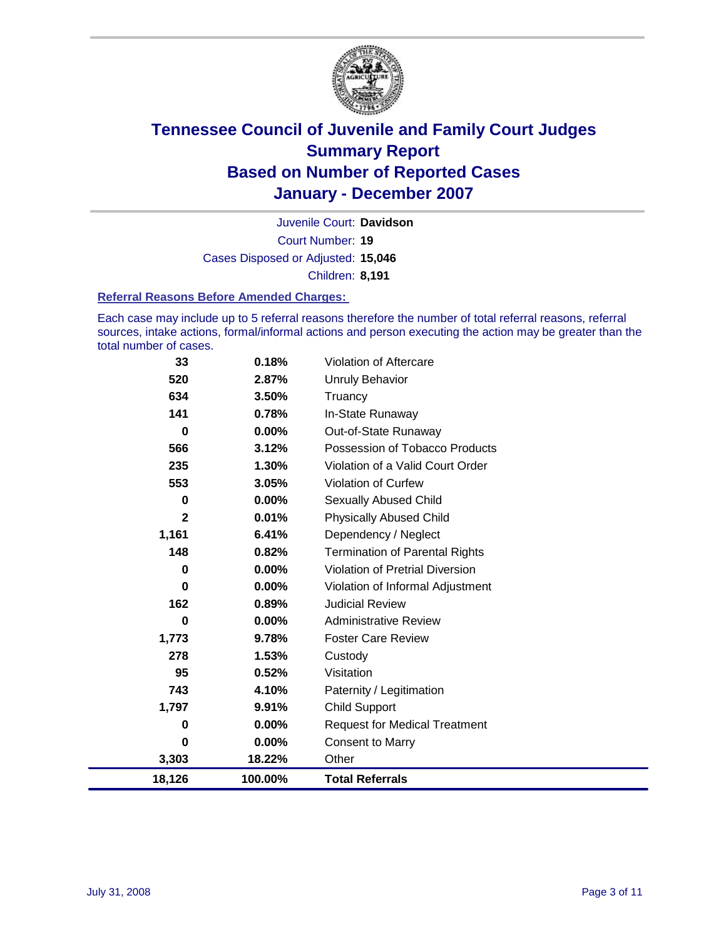

Court Number: **19** Juvenile Court: **Davidson** Cases Disposed or Adjusted: **15,046** Children: **8,191**

#### **Referral Reasons Before Amended Charges:**

Each case may include up to 5 referral reasons therefore the number of total referral reasons, referral sources, intake actions, formal/informal actions and person executing the action may be greater than the total number of cases.

| 33           | 0.18%   | Violation of Aftercare                 |
|--------------|---------|----------------------------------------|
| 520          | 2.87%   | <b>Unruly Behavior</b>                 |
| 634          | 3.50%   | Truancy                                |
| 141          | 0.78%   | In-State Runaway                       |
| 0            | 0.00%   | Out-of-State Runaway                   |
| 566          | 3.12%   | Possession of Tobacco Products         |
| 235          | 1.30%   | Violation of a Valid Court Order       |
| 553          | 3.05%   | <b>Violation of Curfew</b>             |
| 0            | 0.00%   | <b>Sexually Abused Child</b>           |
| $\mathbf{2}$ | 0.01%   | <b>Physically Abused Child</b>         |
| 1,161        | 6.41%   | Dependency / Neglect                   |
| 148          | 0.82%   | <b>Termination of Parental Rights</b>  |
| 0            | 0.00%   | <b>Violation of Pretrial Diversion</b> |
| 0            | 0.00%   | Violation of Informal Adjustment       |
| 162          | 0.89%   | <b>Judicial Review</b>                 |
| 0            | 0.00%   | <b>Administrative Review</b>           |
| 1,773        | 9.78%   | <b>Foster Care Review</b>              |
| 278          | 1.53%   | Custody                                |
| 95           | 0.52%   | Visitation                             |
| 743          | 4.10%   | Paternity / Legitimation               |
| 1,797        | 9.91%   | <b>Child Support</b>                   |
| 0            | 0.00%   | <b>Request for Medical Treatment</b>   |
| 0            | 0.00%   | <b>Consent to Marry</b>                |
| 3,303        | 18.22%  | Other                                  |
| 18,126       | 100.00% | <b>Total Referrals</b>                 |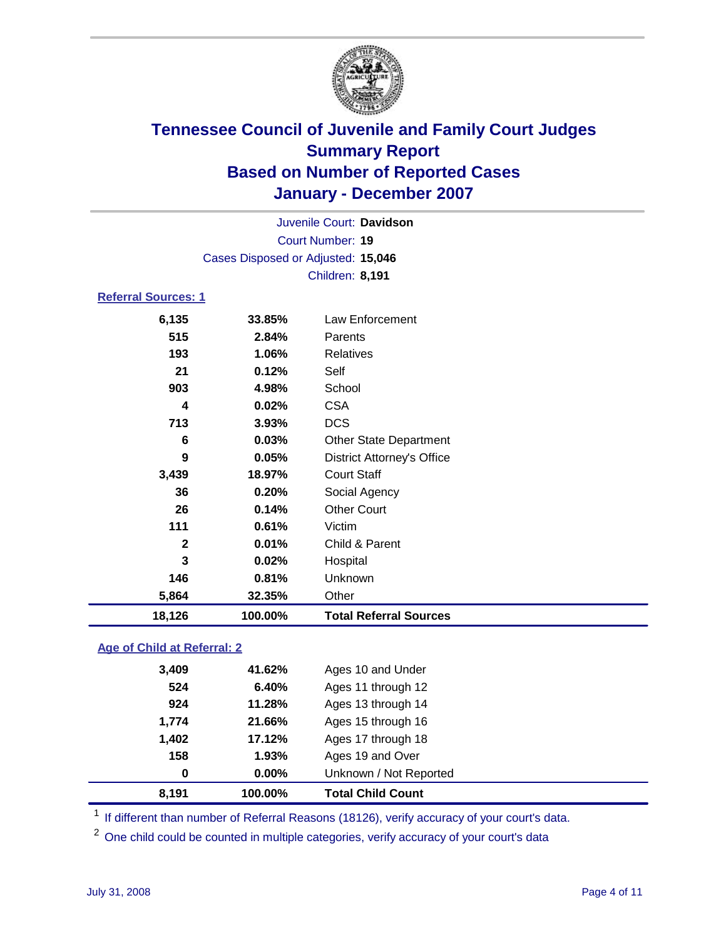

Court Number: **19** Juvenile Court: **Davidson** Cases Disposed or Adjusted: **15,046** Children: **8,191**

### **Referral Sources: 1**

| 18,126       | 100.00% | <b>Total Referral Sources</b>     |
|--------------|---------|-----------------------------------|
| 5,864        | 32.35%  | Other                             |
| 146          | 0.81%   | Unknown                           |
| 3            | 0.02%   | Hospital                          |
| $\mathbf{2}$ | 0.01%   | Child & Parent                    |
| 111          | 0.61%   | Victim                            |
| 26           | 0.14%   | <b>Other Court</b>                |
| 36           | 0.20%   | Social Agency                     |
| 3,439        | 18.97%  | <b>Court Staff</b>                |
| 9            | 0.05%   | <b>District Attorney's Office</b> |
| 6            | 0.03%   | <b>Other State Department</b>     |
| 713          | 3.93%   | <b>DCS</b>                        |
| 4            | 0.02%   | <b>CSA</b>                        |
| 903          | 4.98%   | School                            |
| 21           | 0.12%   | Self                              |
| 193          | 1.06%   | Relatives                         |
| 515          | 2.84%   | Parents                           |
| 6,135        | 33.85%  | Law Enforcement                   |
|              |         |                                   |

### **Age of Child at Referral: 2**

| 8.191 | 100.00%  | <b>Total Child Count</b> |  |
|-------|----------|--------------------------|--|
| 0     | $0.00\%$ | Unknown / Not Reported   |  |
| 158   | 1.93%    | Ages 19 and Over         |  |
| 1,402 | 17.12%   | Ages 17 through 18       |  |
| 1,774 | 21.66%   | Ages 15 through 16       |  |
| 924   | 11.28%   | Ages 13 through 14       |  |
| 524   | 6.40%    | Ages 11 through 12       |  |
| 3,409 | 41.62%   | Ages 10 and Under        |  |
|       |          |                          |  |

<sup>1</sup> If different than number of Referral Reasons (18126), verify accuracy of your court's data.

<sup>2</sup> One child could be counted in multiple categories, verify accuracy of your court's data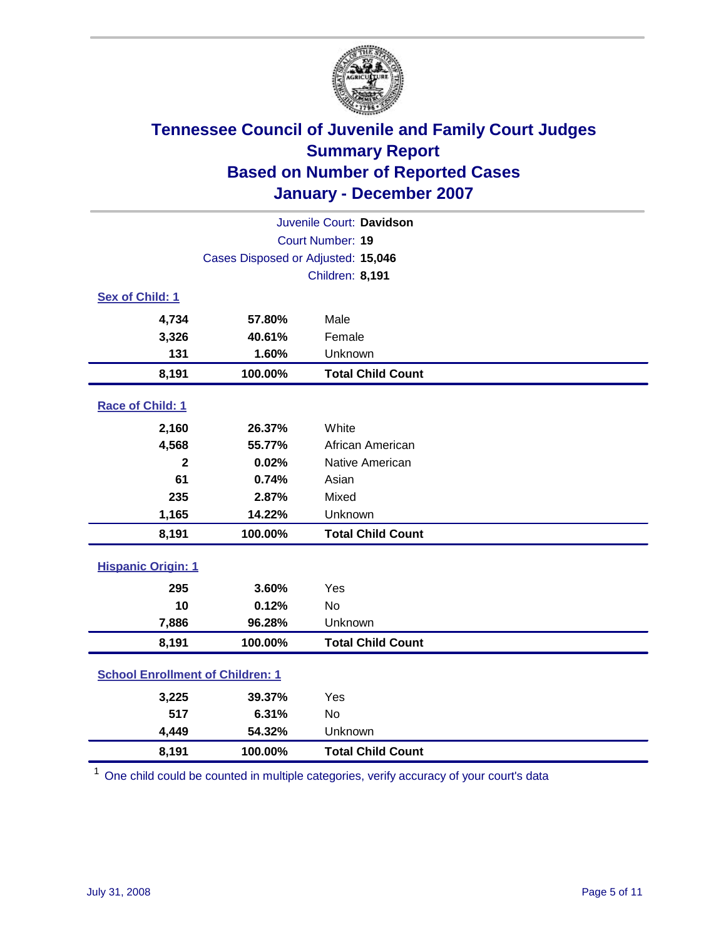

| Juvenile Court: Davidson                |                                    |                          |  |  |
|-----------------------------------------|------------------------------------|--------------------------|--|--|
|                                         | Court Number: 19                   |                          |  |  |
|                                         | Cases Disposed or Adjusted: 15,046 |                          |  |  |
|                                         |                                    | Children: 8,191          |  |  |
| Sex of Child: 1                         |                                    |                          |  |  |
| 4,734                                   | 57.80%                             | Male                     |  |  |
| 3,326                                   | 40.61%                             | Female                   |  |  |
| 131                                     | 1.60%                              | Unknown                  |  |  |
| 8,191                                   | 100.00%                            | <b>Total Child Count</b> |  |  |
| Race of Child: 1                        |                                    |                          |  |  |
| 2,160                                   | 26.37%                             | White                    |  |  |
| 4,568                                   | 55.77%                             | African American         |  |  |
| $\mathbf 2$                             | 0.02%                              | Native American          |  |  |
| 61                                      | 0.74%                              | Asian                    |  |  |
| 235                                     | 2.87%                              | Mixed                    |  |  |
| 1,165                                   | 14.22%                             | Unknown                  |  |  |
| 8,191                                   | 100.00%                            | <b>Total Child Count</b> |  |  |
| <b>Hispanic Origin: 1</b>               |                                    |                          |  |  |
| 295                                     | 3.60%                              | Yes                      |  |  |
| 10                                      | 0.12%                              | <b>No</b>                |  |  |
| 7,886                                   | 96.28%                             | Unknown                  |  |  |
| 8,191                                   | 100.00%                            | <b>Total Child Count</b> |  |  |
| <b>School Enrollment of Children: 1</b> |                                    |                          |  |  |
| 3,225                                   | 39.37%                             | Yes                      |  |  |
| 517                                     | 6.31%                              | <b>No</b>                |  |  |
| 4,449                                   | 54.32%                             | Unknown                  |  |  |
| 8,191                                   | 100.00%                            | <b>Total Child Count</b> |  |  |

 $1$  One child could be counted in multiple categories, verify accuracy of your court's data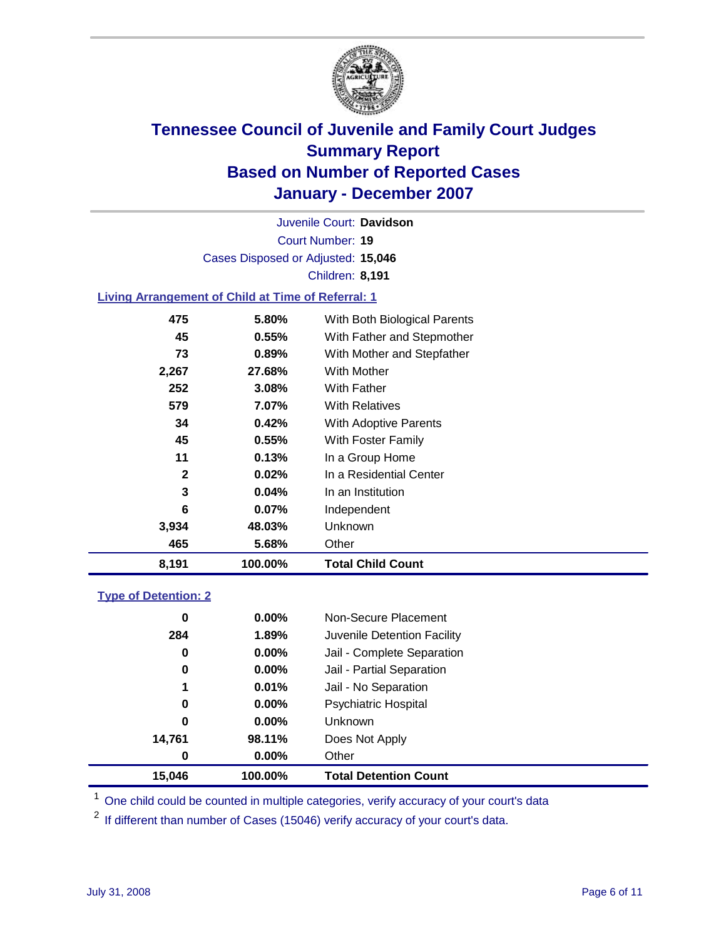

Court Number: **19** Juvenile Court: **Davidson** Cases Disposed or Adjusted: **15,046** Children: **8,191**

#### **Living Arrangement of Child at Time of Referral: 1**

| 8,191        | 100.00%  | <b>Total Child Count</b>     |
|--------------|----------|------------------------------|
| 465          | 5.68%    | Other                        |
| 3,934        | 48.03%   | Unknown                      |
| 6            | $0.07\%$ | Independent                  |
| 3            | 0.04%    | In an Institution            |
| $\mathbf{2}$ | $0.02\%$ | In a Residential Center      |
| 11           | 0.13%    | In a Group Home              |
| 45           | 0.55%    | With Foster Family           |
| 34           | 0.42%    | With Adoptive Parents        |
| 579          | 7.07%    | <b>With Relatives</b>        |
| 252          | 3.08%    | <b>With Father</b>           |
| 2,267        | 27.68%   | With Mother                  |
| 73           | 0.89%    | With Mother and Stepfather   |
| 45           | 0.55%    | With Father and Stepmother   |
| 475          | 5.80%    | With Both Biological Parents |

#### **Type of Detention: 2**

| 15.046 | 100.00%  | <b>Total Detention Count</b> |
|--------|----------|------------------------------|
| 0      | $0.00\%$ | Other                        |
| 14,761 | 98.11%   | Does Not Apply               |
| 0      | $0.00\%$ | Unknown                      |
| 0      | 0.00%    | <b>Psychiatric Hospital</b>  |
| 1      | 0.01%    | Jail - No Separation         |
| 0      | $0.00\%$ | Jail - Partial Separation    |
| 0      | $0.00\%$ | Jail - Complete Separation   |
| 284    | 1.89%    | Juvenile Detention Facility  |
| 0      | 0.00%    | Non-Secure Placement         |
|        |          |                              |

<sup>1</sup> One child could be counted in multiple categories, verify accuracy of your court's data

<sup>2</sup> If different than number of Cases (15046) verify accuracy of your court's data.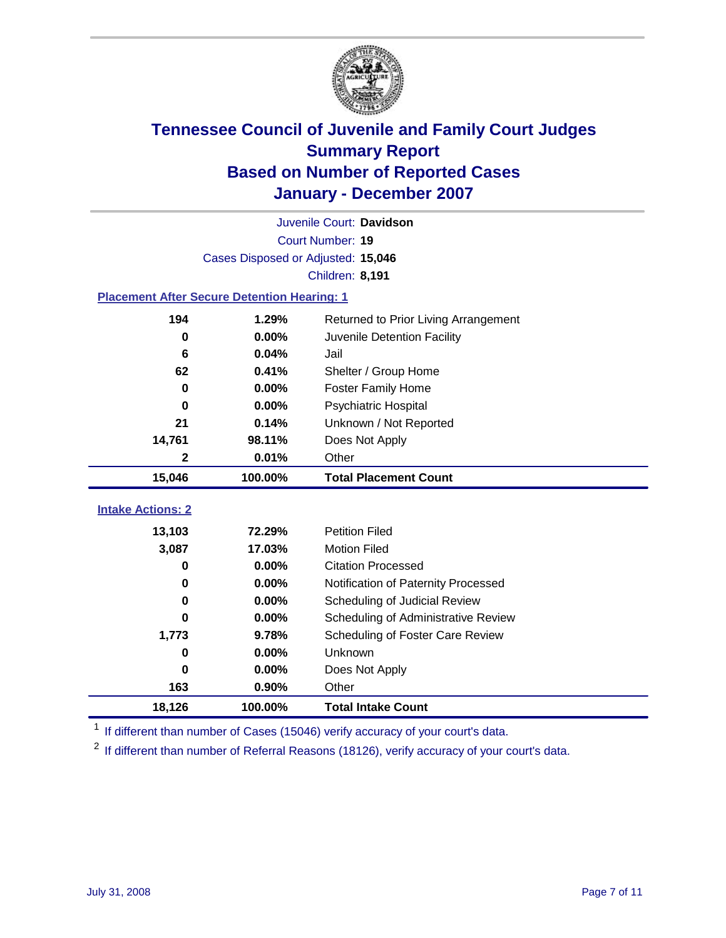

|                                                    | Juvenile Court: Davidson |                                      |  |  |  |
|----------------------------------------------------|--------------------------|--------------------------------------|--|--|--|
|                                                    | Court Number: 19         |                                      |  |  |  |
|                                                    |                          | Cases Disposed or Adjusted: 15,046   |  |  |  |
|                                                    |                          | <b>Children: 8,191</b>               |  |  |  |
| <b>Placement After Secure Detention Hearing: 1</b> |                          |                                      |  |  |  |
| 194                                                | 1.29%                    | Returned to Prior Living Arrangement |  |  |  |
| 0                                                  | 0.00%                    | Juvenile Detention Facility          |  |  |  |
| 6                                                  | 0.04%                    | Jail                                 |  |  |  |
| 62                                                 | 0.41%                    | Shelter / Group Home                 |  |  |  |
| $\bf{0}$                                           | 0.00%                    | <b>Foster Family Home</b>            |  |  |  |
| $\bf{0}$                                           | 0.00%                    | Psychiatric Hospital                 |  |  |  |
| 21                                                 | 0.14%                    | Unknown / Not Reported               |  |  |  |
| 14,761                                             | 98.11%                   | Does Not Apply                       |  |  |  |
| $\mathbf 2$                                        | 0.01%                    | Other                                |  |  |  |
| 15,046                                             | 100.00%                  | <b>Total Placement Count</b>         |  |  |  |
|                                                    |                          |                                      |  |  |  |
| <b>Intake Actions: 2</b>                           |                          |                                      |  |  |  |
| 13,103                                             | 72.29%                   | <b>Petition Filed</b>                |  |  |  |
| 3,087                                              | 17.03%                   | <b>Motion Filed</b>                  |  |  |  |
| $\bf{0}$                                           | 0.00%                    | <b>Citation Processed</b>            |  |  |  |
| 0                                                  | 0.00%                    | Notification of Paternity Processed  |  |  |  |
| $\bf{0}$                                           | 0.00%                    | Scheduling of Judicial Review        |  |  |  |
| 0                                                  | 0.00%                    | Scheduling of Administrative Review  |  |  |  |
| 1,773                                              | 9.78%                    | Scheduling of Foster Care Review     |  |  |  |
| $\bf{0}$                                           | 0.00%                    | Unknown                              |  |  |  |
| 0                                                  | 0.00%                    | Does Not Apply                       |  |  |  |
| 163                                                | 0.90%                    | Other                                |  |  |  |
| 18,126                                             | 100.00%                  | <b>Total Intake Count</b>            |  |  |  |

<sup>1</sup> If different than number of Cases (15046) verify accuracy of your court's data.

<sup>2</sup> If different than number of Referral Reasons (18126), verify accuracy of your court's data.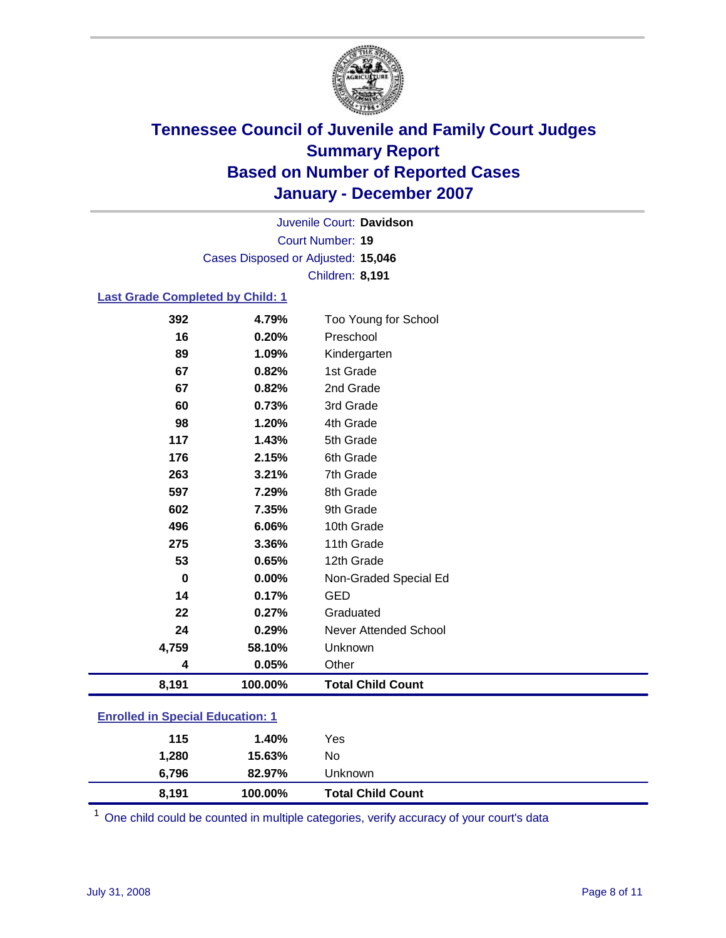

Court Number: **19** Juvenile Court: **Davidson** Cases Disposed or Adjusted: **15,046** Children: **8,191**

#### **Last Grade Completed by Child: 1**

| 8,191    | 100.00% | <b>Total Child Count</b> |
|----------|---------|--------------------------|
| 4        | 0.05%   | Other                    |
| 4,759    | 58.10%  | Unknown                  |
| 24       | 0.29%   | Never Attended School    |
| 22       | 0.27%   | Graduated                |
| 14       | 0.17%   | <b>GED</b>               |
| $\bf{0}$ | 0.00%   | Non-Graded Special Ed    |
| 53       | 0.65%   | 12th Grade               |
| 275      | 3.36%   | 11th Grade               |
| 496      | 6.06%   | 10th Grade               |
| 602      | 7.35%   | 9th Grade                |
| 597      | 7.29%   | 8th Grade                |
| 263      | 3.21%   | 7th Grade                |
| 176      | 2.15%   | 6th Grade                |
| 117      | 1.43%   | 5th Grade                |
| 98       | 1.20%   | 4th Grade                |
| 60       | 0.73%   | 3rd Grade                |
| 67       | 0.82%   | 2nd Grade                |
| 67       | 0.82%   | 1st Grade                |
| 89       | 1.09%   | Kindergarten             |
| 16       | 0.20%   | Preschool                |
| 392      | 4.79%   | Too Young for School     |

### **Enrolled in Special Education: 1**

| 1,280 | 15.63%  | No                       |  |
|-------|---------|--------------------------|--|
| 6,796 | 82.97%  | Unknown                  |  |
| 8,191 | 100.00% | <b>Total Child Count</b> |  |

 $1$  One child could be counted in multiple categories, verify accuracy of your court's data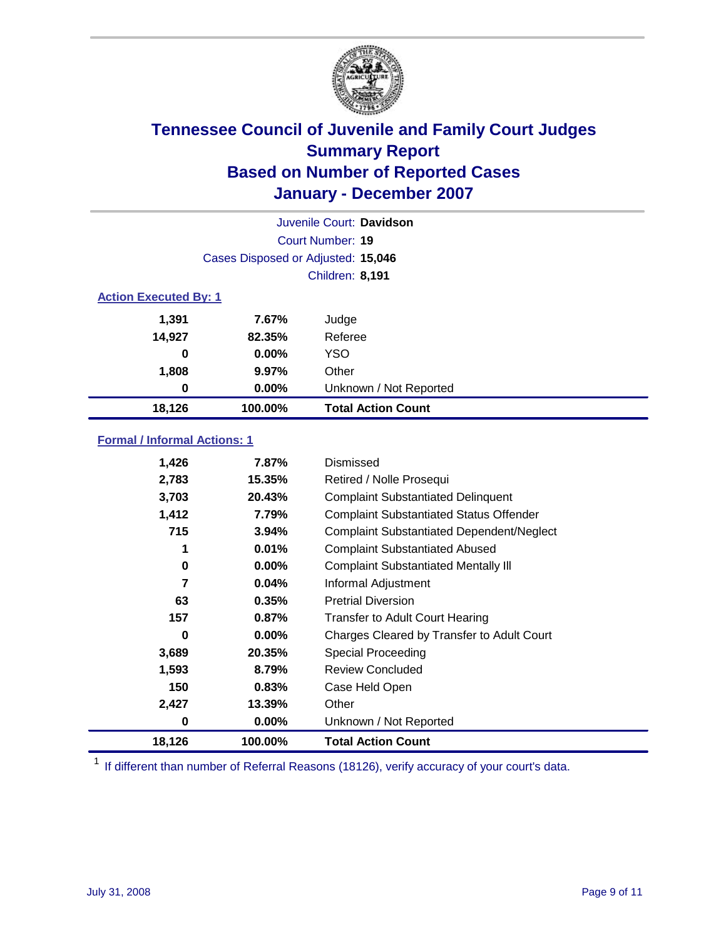

| Juvenile Court: Davidson     |                                    |                           |  |  |
|------------------------------|------------------------------------|---------------------------|--|--|
|                              | Court Number: 19                   |                           |  |  |
|                              | Cases Disposed or Adjusted: 15,046 |                           |  |  |
|                              |                                    | <b>Children: 8,191</b>    |  |  |
| <b>Action Executed By: 1</b> |                                    |                           |  |  |
| 1,391                        | 7.67%                              | Judge                     |  |  |
| 14,927                       | 82.35%                             | Referee                   |  |  |
| 0                            | $0.00\%$                           | <b>YSO</b>                |  |  |
| 1,808                        | 9.97%                              | Other                     |  |  |
| 0                            | $0.00\%$                           | Unknown / Not Reported    |  |  |
| 18,126                       | 100.00%                            | <b>Total Action Count</b> |  |  |

### **Formal / Informal Actions: 1**

| 1,426  | 7.87%    | Dismissed                                        |
|--------|----------|--------------------------------------------------|
| 2,783  | 15.35%   | Retired / Nolle Prosequi                         |
| 3,703  | 20.43%   | <b>Complaint Substantiated Delinquent</b>        |
| 1,412  | 7.79%    | <b>Complaint Substantiated Status Offender</b>   |
| 715    | 3.94%    | <b>Complaint Substantiated Dependent/Neglect</b> |
| 1      | 0.01%    | <b>Complaint Substantiated Abused</b>            |
| 0      | $0.00\%$ | <b>Complaint Substantiated Mentally III</b>      |
| 7      | 0.04%    | Informal Adjustment                              |
| 63     | 0.35%    | <b>Pretrial Diversion</b>                        |
| 157    | 0.87%    | <b>Transfer to Adult Court Hearing</b>           |
| 0      | $0.00\%$ | Charges Cleared by Transfer to Adult Court       |
| 3,689  | 20.35%   | Special Proceeding                               |
| 1,593  | 8.79%    | <b>Review Concluded</b>                          |
| 150    | 0.83%    | Case Held Open                                   |
| 2,427  | 13.39%   | Other                                            |
| 0      | $0.00\%$ | Unknown / Not Reported                           |
| 18,126 | 100.00%  | <b>Total Action Count</b>                        |

<sup>1</sup> If different than number of Referral Reasons (18126), verify accuracy of your court's data.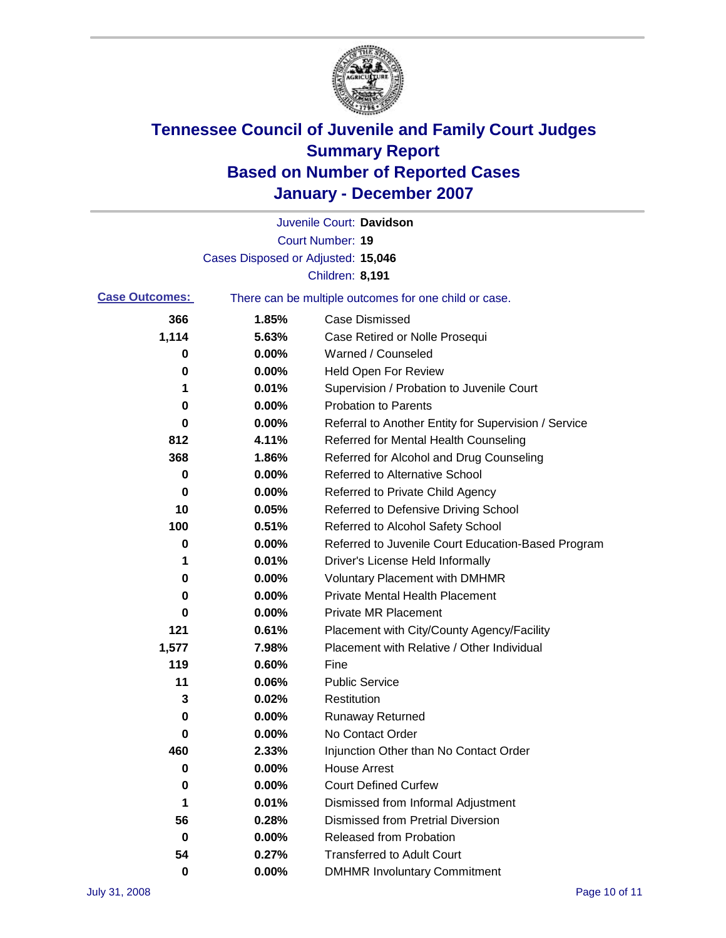

|                       |                                    | Juvenile Court: Davidson                              |
|-----------------------|------------------------------------|-------------------------------------------------------|
|                       |                                    | <b>Court Number: 19</b>                               |
|                       | Cases Disposed or Adjusted: 15,046 |                                                       |
|                       |                                    | <b>Children: 8,191</b>                                |
| <b>Case Outcomes:</b> |                                    | There can be multiple outcomes for one child or case. |
| 366                   | 1.85%                              | <b>Case Dismissed</b>                                 |
| 1,114                 | 5.63%                              | Case Retired or Nolle Prosequi                        |
| 0                     | 0.00%                              | Warned / Counseled                                    |
| 0                     | 0.00%                              | <b>Held Open For Review</b>                           |
| 1                     | 0.01%                              | Supervision / Probation to Juvenile Court             |
| 0                     | 0.00%                              | <b>Probation to Parents</b>                           |
| 0                     | 0.00%                              | Referral to Another Entity for Supervision / Service  |
| 812                   | 4.11%                              | Referred for Mental Health Counseling                 |
| 368                   | 1.86%                              | Referred for Alcohol and Drug Counseling              |
| 0                     | 0.00%                              | Referred to Alternative School                        |
| 0                     | 0.00%                              | Referred to Private Child Agency                      |
| 10                    | 0.05%                              | Referred to Defensive Driving School                  |
| 100                   | 0.51%                              | Referred to Alcohol Safety School                     |
| 0                     | 0.00%                              | Referred to Juvenile Court Education-Based Program    |
| 1                     | 0.01%                              | Driver's License Held Informally                      |
| 0                     | 0.00%                              | <b>Voluntary Placement with DMHMR</b>                 |
| 0                     | 0.00%                              | <b>Private Mental Health Placement</b>                |
| 0                     | 0.00%                              | <b>Private MR Placement</b>                           |
| 121                   | 0.61%                              | Placement with City/County Agency/Facility            |
| 1,577                 | 7.98%                              | Placement with Relative / Other Individual            |
| 119                   | 0.60%                              | Fine                                                  |
| 11                    | 0.06%                              | <b>Public Service</b>                                 |
| 3                     | 0.02%                              | Restitution                                           |
| 0                     | 0.00%                              | <b>Runaway Returned</b>                               |
| 0                     | 0.00%                              | No Contact Order                                      |
| 460                   | 2.33%                              | Injunction Other than No Contact Order                |
| 0                     | 0.00%                              | <b>House Arrest</b>                                   |
| 0                     | 0.00%                              | <b>Court Defined Curfew</b>                           |
| 1                     | 0.01%                              | Dismissed from Informal Adjustment                    |
| 56                    | 0.28%                              | <b>Dismissed from Pretrial Diversion</b>              |
| $\bf{0}$              | 0.00%                              | Released from Probation                               |
| 54                    | 0.27%                              | <b>Transferred to Adult Court</b>                     |
| $\mathbf 0$           | $0.00\%$                           | <b>DMHMR Involuntary Commitment</b>                   |